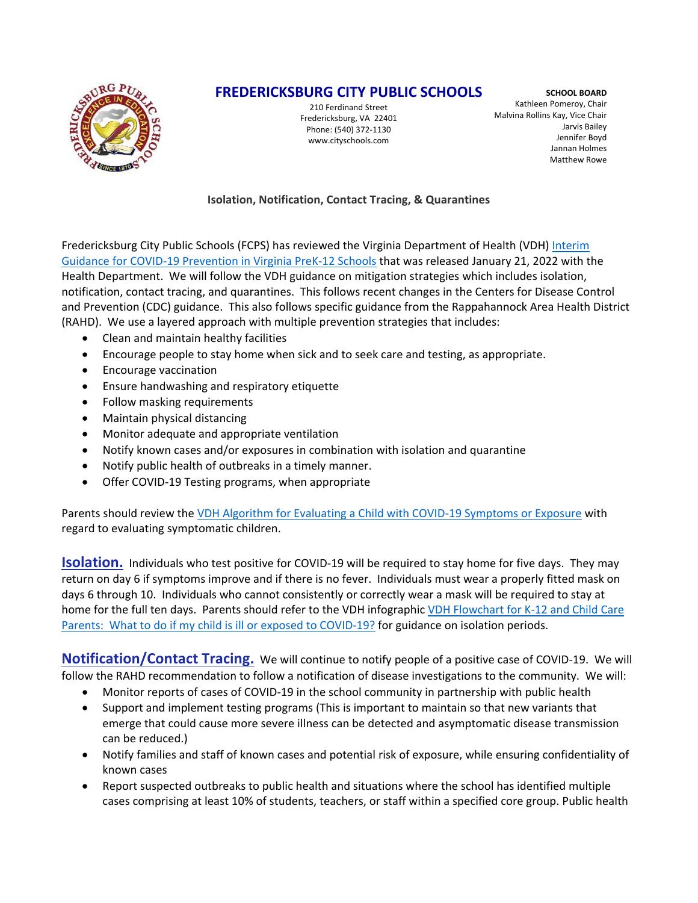

# **FREDERICKSBURG CITY PUBLIC SCHOOLS**

210 Ferdinand Street Fredericksburg, VA 22401 Phone: (540) 372‐1130 www.cityschools.com

**SCHOOL BOARD** Kathleen Pomeroy, Chair Malvina Rollins Kay, Vice Chair Jarvis Bailey Jennifer Boyd Jannan Holmes Matthew Rowe

#### **Isolation, Notification, Contact Tracing, & Quarantines**

Fredericksburg City Public Schools (FCPS) has reviewed the Virginia Department of Health (VDH) [Interim](https://www.vdh.virginia.gov/content/uploads/sites/182/2021/03/Interim-Guidance-to-K-12-School-Reopening.pdf) Guidance for COVID‐19 [Prevention](https://www.vdh.virginia.gov/content/uploads/sites/182/2021/03/Interim-Guidance-to-K-12-School-Reopening.pdf) in Virginia PreK‐12 Schools that was released January 21, 2022 with the Health Department. We will follow the VDH guidance on mitigation strategies which includes isolation, notification, contact tracing, and quarantines. This follows recent changes in the Centers for Disease Control and Prevention (CDC) guidance. This also follows specific guidance from the Rappahannock Area Health District (RAHD). We use a layered approach with multiple prevention strategies that includes:

- Clean and maintain healthy facilities
- Encourage people to stay home when sick and to seek care and testing, as appropriate.
- **•** Encourage vaccination
- Ensure handwashing and respiratory etiquette
- Follow masking requirements
- Maintain physical distancing
- Monitor adequate and appropriate ventilation
- Notify known cases and/or exposures in combination with isolation and quarantine
- Notify public health of outbreaks in a timely manner.
- Offer COVID-19 Testing programs, when appropriate

Parents should review the VDH Algorithm for Evaluating a Child with COVID-19 [Symptoms](https://www.vdh.virginia.gov/content/uploads/sites/182/2020/08/Evaluating-Symptoms-in-a-Child.pdf) or Exposure with regard to evaluating symptomatic children.

**Isolation.** Individuals who test positive for COVID-19 will be required to stay home for five days. They may return on day 6 if symptoms improve and if there is no fever. Individuals must wear a properly fitted mask on days 6 through 10. Individuals who cannot consistently or correctly wear a mask will be required to stay at home for the full ten days. Parents should refer to the VDH infographic VDH [Flowchart](https://www.vdh.virginia.gov/content/uploads/sites/182/2022/01/K-12-COVID-19-Parent-Flowchart.pdf) for K‐12 and Child Care Parents: What to do if my child is ill or [exposed](https://www.vdh.virginia.gov/content/uploads/sites/182/2022/01/K-12-COVID-19-Parent-Flowchart.pdf) to COVID-19? for guidance on isolation periods.

**Notification/Contact Tracing.** We will continue to notify people of a positive case of COVID‐19. We will follow the RAHD recommendation to follow a notification of disease investigations to the community. We will:

- Monitor reports of cases of COVID-19 in the school community in partnership with public health
- Support and implement testing programs (This is important to maintain so that new variants that emerge that could cause more severe illness can be detected and asymptomatic disease transmission can be reduced.)
- Notify families and staff of known cases and potential risk of exposure, while ensuring confidentiality of known cases
- Report suspected outbreaks to public health and situations where the school has identified multiple cases comprising at least 10% of students, teachers, or staff within a specified core group. Public health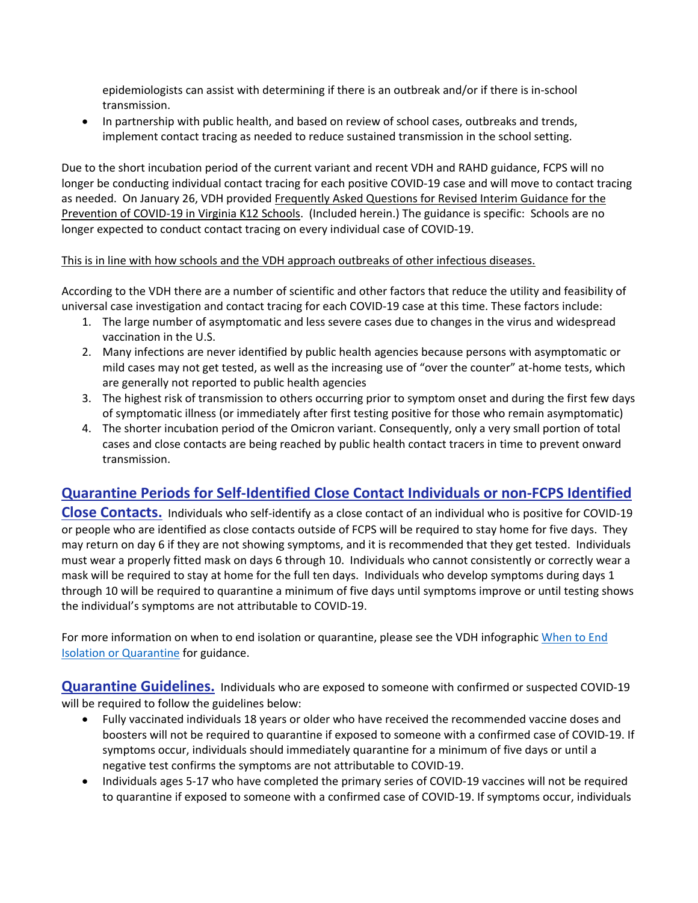epidemiologists can assist with determining if there is an outbreak and/or if there is in‐school transmission.

 In partnership with public health, and based on review of school cases, outbreaks and trends, implement contact tracing as needed to reduce sustained transmission in the school setting.

Due to the short incubation period of the current variant and recent VDH and RAHD guidance, FCPS will no longer be conducting individual contact tracing for each positive COVID‐19 case and will move to contact tracing as needed. On January 26, VDH provided Frequently Asked Questions for Revised Interim Guidance for the Prevention of COVID‐19 in Virginia K12 Schools. (Included herein.) The guidance is specific: Schools are no longer expected to conduct contact tracing on every individual case of COVID‐19.

#### This is in line with how schools and the VDH approach outbreaks of other infectious diseases.

According to the VDH there are a number of scientific and other factors that reduce the utility and feasibility of universal case investigation and contact tracing for each COVID‐19 case at this time. These factors include:

- 1. The large number of asymptomatic and less severe cases due to changes in the virus and widespread vaccination in the U.S.
- 2. Many infections are never identified by public health agencies because persons with asymptomatic or mild cases may not get tested, as well as the increasing use of "over the counter" at‐home tests, which are generally not reported to public health agencies
- 3. The highest risk of transmission to others occurring prior to symptom onset and during the first few days of symptomatic illness (or immediately after first testing positive for those who remain asymptomatic)
- 4. The shorter incubation period of the Omicron variant. Consequently, only a very small portion of total cases and close contacts are being reached by public health contact tracers in time to prevent onward transmission.

# **Quarantine Periods for Self‐Identified Close Contact Individuals or non‐FCPS Identified**

**Close Contacts.** Individuals who self‐identify as a close contact of an individual who is positive for COVID‐19 or people who are identified as close contacts outside of FCPS will be required to stay home for five days. They may return on day 6 if they are not showing symptoms, and it is recommended that they get tested. Individuals must wear a properly fitted mask on days 6 through 10. Individuals who cannot consistently or correctly wear a mask will be required to stay at home for the full ten days. Individuals who develop symptoms during days 1 through 10 will be required to quarantine a minimum of five days until symptoms improve or until testing shows the individual's symptoms are not attributable to COVID‐19.

For more information on when to end isolation or quarantine, please see the VDH infographic [When](https://www.vdh.virginia.gov/content/uploads/sites/182/2020/04/Home-IsolationQuarantine-Release-Graphic_FINAL.pdf) to End Isolation or [Quarantine](https://www.vdh.virginia.gov/content/uploads/sites/182/2020/04/Home-IsolationQuarantine-Release-Graphic_FINAL.pdf) for guidance.

**Quarantine Guidelines.** Individuals who are exposed to someone with confirmed or suspected COVID‐19 will be required to follow the guidelines below:

- Fully vaccinated individuals 18 years or older who have received the recommended vaccine doses and boosters will not be required to quarantine if exposed to someone with a confirmed case of COVID‐19. If symptoms occur, individuals should immediately quarantine for a minimum of five days or until a negative test confirms the symptoms are not attributable to COVID‐19.
- Individuals ages 5‐17 who have completed the primary series of COVID‐19 vaccines will not be required to quarantine if exposed to someone with a confirmed case of COVID‐19. If symptoms occur, individuals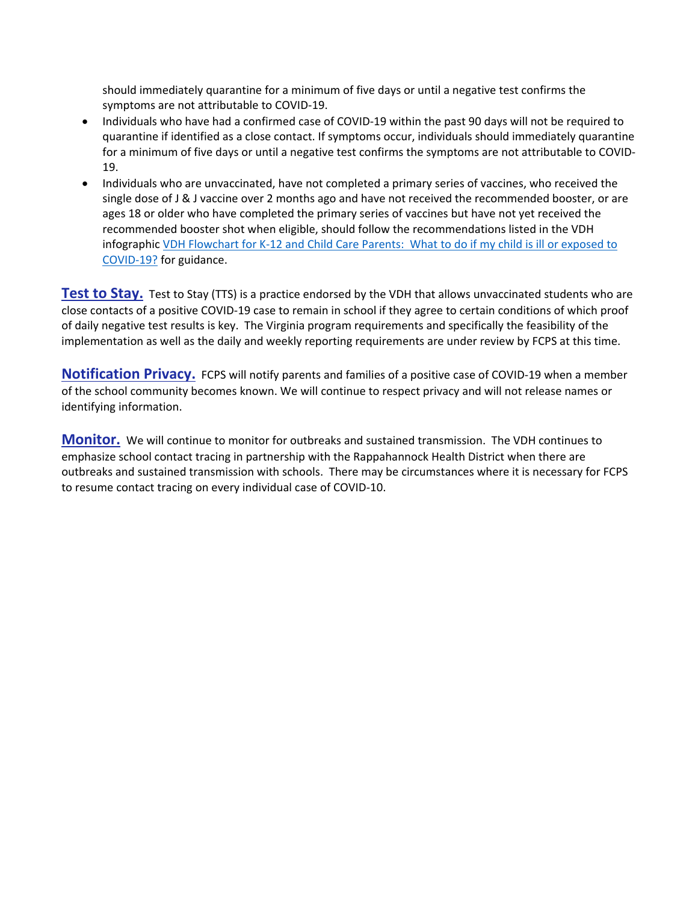should immediately quarantine for a minimum of five days or until a negative test confirms the symptoms are not attributable to COVID‐19.

- Individuals who have had a confirmed case of COVID‐19 within the past 90 days will not be required to quarantine if identified as a close contact. If symptoms occur, individuals should immediately quarantine for a minimum of five days or until a negative test confirms the symptoms are not attributable to COVID‐ 19.
- Individuals who are unvaccinated, have not completed a primary series of vaccines, who received the single dose of J & J vaccine over 2 months ago and have not received the recommended booster, or are ages 18 or older who have completed the primary series of vaccines but have not yet received the recommended booster shot when eligible, should follow the recommendations listed in the VDH infographic VDH [Flowchart](https://www.vdh.virginia.gov/content/uploads/sites/182/2022/01/K-12-COVID-19-Parent-Flowchart.pdf) for K-12 and Child Care Parents: What to do if my child is ill or exposed to [COVID](https://www.vdh.virginia.gov/content/uploads/sites/182/2022/01/K-12-COVID-19-Parent-Flowchart.pdf)‐19? for guidance.

**Test to Stay.** Test to Stay (TTS) is a practice endorsed by the VDH that allows unvaccinated students who are close contacts of a positive COVID‐19 case to remain in school if they agree to certain conditions of which proof of daily negative test results is key. The Virginia program requirements and specifically the feasibility of the implementation as well as the daily and weekly reporting requirements are under review by FCPS at this time.

**Notification Privacy.** FCPS will notify parents and families of a positive case of COVID-19 when a member of the school community becomes known. We will continue to respect privacy and will not release names or identifying information.

**Monitor.** We will continue to monitor for outbreaks and sustained transmission. The VDH continues to emphasize school contact tracing in partnership with the Rappahannock Health District when there are outbreaks and sustained transmission with schools. There may be circumstances where it is necessary for FCPS to resume contact tracing on every individual case of COVID‐10.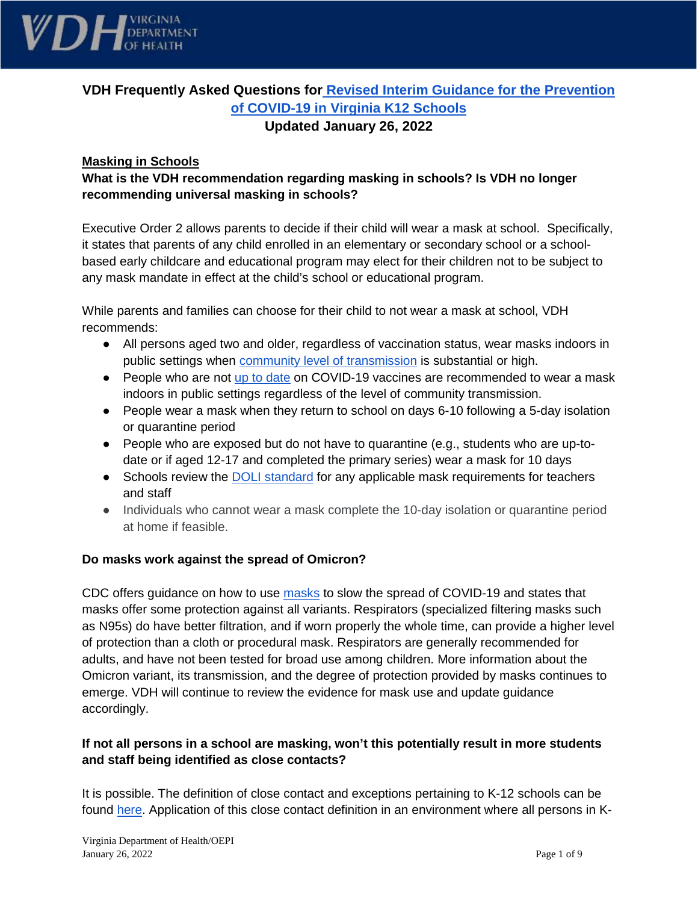

# **VDH Frequently Asked Questions for [Revised Interim Guidance for the Prevention](https://www.vdh.virginia.gov/content/uploads/sites/182/2021/03/Interim-Guidance-to-K-12-School-Reopening.pdf)  [of COVID-19 in Virginia K12 Schools](https://www.vdh.virginia.gov/content/uploads/sites/182/2021/03/Interim-Guidance-to-K-12-School-Reopening.pdf)  Updated January 26, 2022**

#### **Masking in Schools**

# **What is the VDH recommendation regarding masking in schools? Is VDH no longer recommending universal masking in schools?**

Executive Order 2 allows parents to decide if their child will wear a mask at school. Specifically, it states that parents of any child enrolled in an elementary or secondary school or a schoolbased early childcare and educational program may elect for their children not to be subject to any mask mandate in effect at the child's school or educational program.

While parents and families can choose for their child to not wear a mask at school, VDH recommends:

- All persons aged two and older, regardless of vaccination status, wear masks indoors in public settings when [community level of transmission](https://www.vdh.virginia.gov/coronavirus/see-the-numbers/covid-19-in-virginia/community-transmission/) is substantial or high.
- People who are not [up to date](https://www.cdc.gov/coronavirus/2019-ncov/vaccines/stay-up-to-date.html) on COVID-19 vaccines are recommended to wear a mask indoors in public settings regardless of the level of community transmission.
- People wear a mask when they return to school on days 6-10 following a 5-day isolation or quarantine period
- People who are exposed but do not have to quarantine (e.g., students who are up-todate or if aged 12-17 and completed the primary series) wear a mask for 10 days
- Schools review the **DOLI** standard for any applicable mask requirements for teachers and staff
- Individuals who cannot wear a mask complete the 10-day isolation or quarantine period at home if feasible.

#### **Do masks work against the spread of Omicron?**

CDC offers guidance on how to use [masks](https://www.cdc.gov/coronavirus/2019-ncov/prevent-getting-sick/masks.html) to slow the spread of COVID-19 and states that masks offer some protection against all variants. Respirators (specialized filtering masks such as N95s) do have better filtration, and if worn properly the whole time, can provide a higher level of protection than a cloth or procedural mask. Respirators are generally recommended for adults, and have not been tested for broad use among children. More information about the Omicron variant, its transmission, and the degree of protection provided by masks continues to emerge. VDH will continue to review the evidence for mask use and update guidance accordingly.

#### **If not all persons in a school are masking, won't this potentially result in more students and staff being identified as close contacts?**

It is possible. The definition of close contact and exceptions pertaining to K-12 schools can be found [here.](https://www.vdh.virginia.gov/coronavirus/protect-yourself/exposure/#close-contact) Application of this close contact definition in an environment where all persons in K-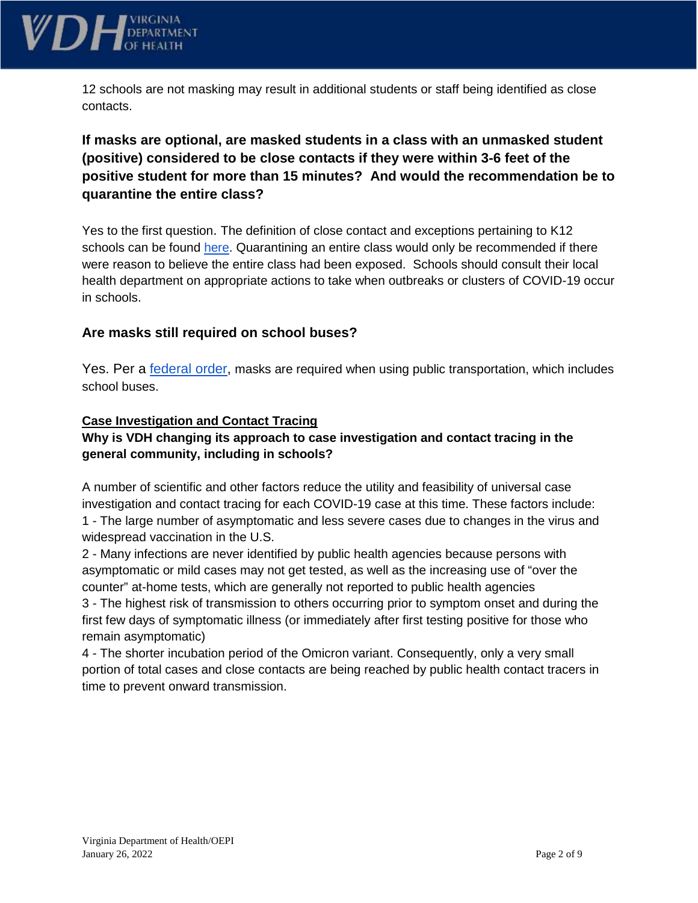

12 schools are not masking may result in additional students or staff being identified as close contacts.

# **If masks are optional, are masked students in a class with an unmasked student (positive) considered to be close contacts if they were within 3-6 feet of the positive student for more than 15 minutes? And would the recommendation be to quarantine the entire class?**

Yes to the first question. The definition of close contact and exceptions pertaining to K12 schools can be found [here.](https://www.vdh.virginia.gov/coronavirus/protect-yourself/exposure/#close-contact) Quarantining an entire class would only be recommended if there were reason to believe the entire class had been exposed. Schools should consult their local health department on appropriate actions to take when outbreaks or clusters of COVID-19 occur in schools.

# **Are masks still required on school buses?**

Yes. Per a **federal order**, masks are required when using public transportation, which includes school buses.

#### **Case Investigation and Contact Tracing**

## **Why is VDH changing its approach to case investigation and contact tracing in the general community, including in schools?**

A number of scientific and other factors reduce the utility and feasibility of universal case investigation and contact tracing for each COVID-19 case at this time. These factors include: 1 - The large number of asymptomatic and less severe cases due to changes in the virus and widespread vaccination in the U.S.

2 - Many infections are never identified by public health agencies because persons with asymptomatic or mild cases may not get tested, as well as the increasing use of "over the counter" at-home tests, which are generally not reported to public health agencies 3 - The highest risk of transmission to others occurring prior to symptom onset and during the first few days of symptomatic illness (or immediately after first testing positive for those who remain asymptomatic)

4 - The shorter incubation period of the Omicron variant. Consequently, only a very small portion of total cases and close contacts are being reached by public health contact tracers in time to prevent onward transmission.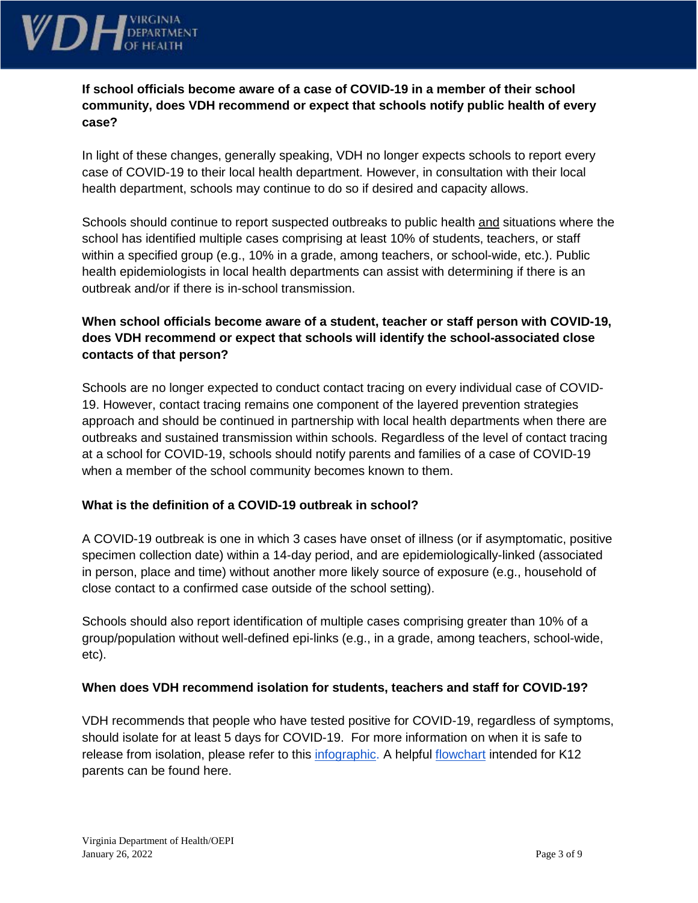

**If school officials become aware of a case of COVID-19 in a member of their school community, does VDH recommend or expect that schools notify public health of every case?** 

In light of these changes, generally speaking, VDH no longer expects schools to report every case of COVID-19 to their local health department. However, in consultation with their local health department, schools may continue to do so if desired and capacity allows.

Schools should continue to report suspected [outbreaks](https://www.vdh.virginia.gov/coronavirus/see-the-numbers/covid-19-in-virginia/covid-19-in-virginia-outbreaks/) to public health and situations where the school has identified multiple cases comprising at least 10% of students, teachers, or staff within a specified group (e.g., 10% in a grade, among teachers, or school-wide, etc.). Public health epidemiologists in local health departments can assist with determining if there is an outbreak and/or if there is in-school transmission.

# **When school officials become aware of a student, teacher or staff person with COVID-19, does VDH recommend or expect that schools will identify the school-associated close contacts of that person?**

Schools are no longer expected to conduct contact tracing on every individual case of COVID-19. However, contact tracing remains one component of the layered prevention strategies approach and should be continued in partnership with local health departments when there are outbreaks and sustained transmission within schools. Regardless of the level of contact tracing at a school for COVID-19, schools should notify parents and families of a case of COVID-19 when a member of the school community becomes known to them.

## **What is the definition of a COVID-19 outbreak in school?**

A COVID-19 outbreak is one in which 3 cases have onset of illness (or if asymptomatic, positive specimen collection date) within a 14-day period, and are epidemiologically-linked (associated in person, place and time) without another more likely source of exposure (e.g., household of close contact to a confirmed case outside of the school setting).

Schools should also report identification of multiple cases comprising greater than 10% of a group/population without well-defined epi-links (e.g., in a grade, among teachers, school-wide, etc).

## **When does VDH recommend isolation for students, teachers and staff for COVID-19?**

VDH recommends that people who have tested positive for COVID-19, regardless of symptoms, should isolate for at least 5 days for COVID-19. For more information on when it is safe to release from isolation, please refer to this [infographic.](https://www.vdh.virginia.gov/content/uploads/sites/182/2020/04/Home-IsolationQuarantine-Release-Graphic_FINAL.pdf) A helpful [flowchart](https://www.vdh.virginia.gov/content/uploads/sites/182/2022/01/K-12-COVID-19-Parent-Flowchart.pdf) intended for K12 parents can be found here.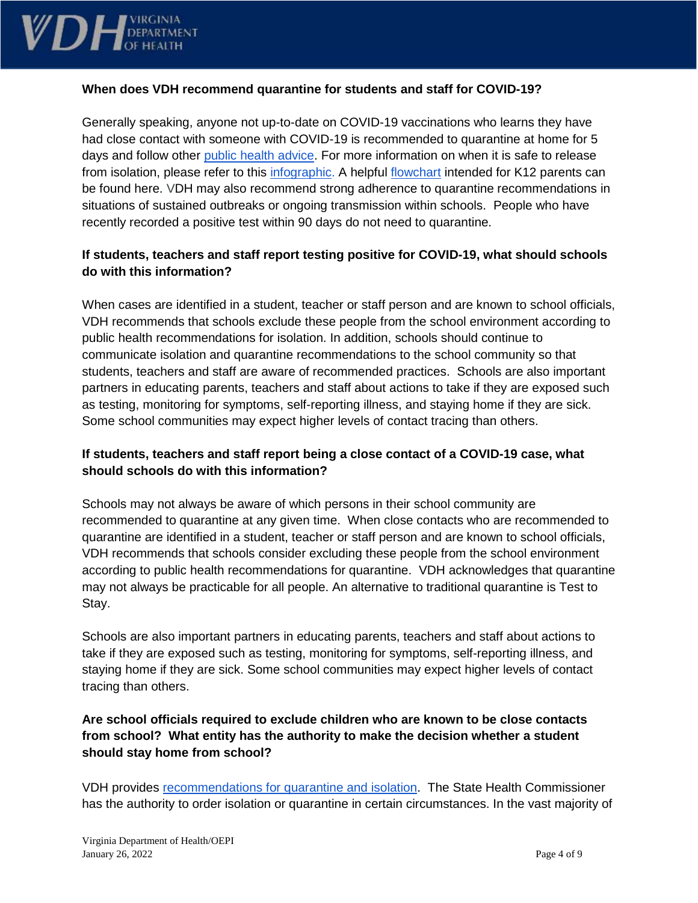

#### **When does VDH recommend quarantine for students and staff for COVID-19?**

Generally speaking, anyone not up-to-date on COVID-19 vaccinations who learns they have had close contact with someone with COVID-19 is recommended to quarantine at home for 5 days and follow other [public health advice.](https://www.vdh.virginia.gov/coronavirus/protect-yourself/exposure/) For more information on when it is safe to release from isolation, please refer to this [infographic.](https://www.vdh.virginia.gov/content/uploads/sites/182/2020/04/Home-IsolationQuarantine-Release-Graphic_FINAL.pdf) A helpful [flowchart](https://www.vdh.virginia.gov/content/uploads/sites/182/2022/01/K-12-COVID-19-Parent-Flowchart.pdf) intended for K12 parents can be found here. VDH may also recommend strong adherence to quarantine recommendations in situations of sustained outbreaks or ongoing transmission within schools. People who have recently recorded a positive test within 90 days do not need to quarantine.

## **If students, teachers and staff report testing positive for COVID-19, what should schools do with this information?**

When cases are identified in a student, teacher or staff person and are known to school officials, VDH recommends that schools exclude these people from the school environment according to public health recommendations for isolation. In addition, schools should continue to communicate isolation and quarantine recommendations to the school community so that students, teachers and staff are aware of recommended practices. Schools are also important partners in educating parents, teachers and staff about actions to take if they are exposed such as testing, monitoring for symptoms, self-reporting illness, and staying home if they are sick. Some school communities may expect higher levels of contact tracing than others.

## **If students, teachers and staff report being a close contact of a COVID-19 case, what should schools do with this information?**

Schools may not always be aware of which persons in their school community are recommended to quarantine at any given time. When close contacts who are recommended to quarantine are identified in a student, teacher or staff person and are known to school officials, VDH recommends that schools consider excluding these people from the school environment according to public health recommendations for quarantine. VDH acknowledges that quarantine may not always be practicable for all people. An alternative to traditional quarantine is Test to Stay.

Schools are also important partners in educating parents, teachers and staff about actions to take if they are exposed such as testing, monitoring for symptoms, self-reporting illness, and staying home if they are sick. Some school communities may expect higher levels of contact tracing than others.

# **Are school officials required to exclude children who are known to be close contacts from school? What entity has the authority to make the decision whether a student should stay home from school?**

VDH provides [recommendations for quarantine and isolation.](https://www.vdh.virginia.gov/content/uploads/sites/182/2020/04/Home-IsolationQuarantine-Release-Graphic_FINAL.pdf) The State Health Commissioner has the authority to order isolation or quarantine in certain circumstances. In the vast majority of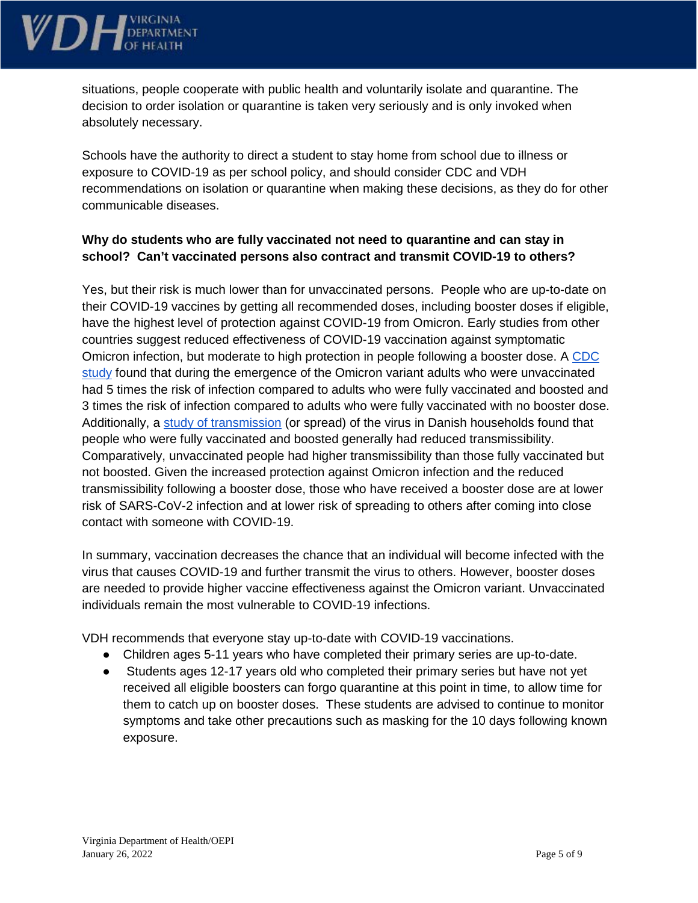

situations, people cooperate with public health and voluntarily isolate and quarantine. The decision to order isolation or quarantine is taken very seriously and is only invoked when absolutely necessary.

Schools have the authority to direct a student to stay home from school due to illness or exposure to COVID-19 as per school policy, and should consider CDC and VDH recommendations on isolation or quarantine when making these decisions, as they do for other communicable diseases.

## **Why do students who are fully vaccinated not need to quarantine and can stay in school? Can't vaccinated persons also contract and transmit COVID-19 to others?**

Yes, but their risk is much lower than for unvaccinated persons. People who are up-to-date on their COVID-19 [vaccines](https://www.cdc.gov/coronavirus/2019-ncov/vaccines/index.html) by getting all recommended doses, including [booster](https://www.cdc.gov/coronavirus/2019-ncov/vaccines/booster-shot.html) doses if eligible, have the highest level of protection against COVID-19 from Omicron. Early studies from other countries suggest reduced effectiveness of COVID-19 vaccination against symptomatic Omicron infection, but moderate to high protection in people following a booster dose. A [CDC](https://www.cdc.gov/mmwr/volumes/71/wr/mm7104e2.htm?s_cid=mm7104e2_w)  [study](https://www.cdc.gov/mmwr/volumes/71/wr/mm7104e2.htm?s_cid=mm7104e2_w) found that during the emergence of the Omicron variant adults who were unvaccinated had 5 times the risk of infection compared to adults who were fully vaccinated and boosted and 3 times the risk of infection compared to adults who were fully vaccinated with no booster dose. Additionally, a [study of transmission](https://www.medrxiv.org/content/10.1101/2021.12.27.21268278v1.full.pdf) (or spread) of the virus in Danish households found that people who were fully vaccinated and boosted generally had reduced transmissibility. Comparatively, unvaccinated people had higher transmissibility than those fully vaccinated but not boosted. Given the increased protection against Omicron infection and the reduced transmissibility following a booster dose, those who have received a booster dose are at lower risk of SARS-CoV-2 infection and at lower risk of spreading to others after coming into [close](https://wcms-wp.cdc.gov/coronavirus/2019-ncov/php/contact-tracing/contact-tracing-plan/appendix.html#contact)  [contact](https://wcms-wp.cdc.gov/coronavirus/2019-ncov/php/contact-tracing/contact-tracing-plan/appendix.html#contact) with someone with COVID-19.

In summary, vaccination decreases the chance that an individual will become infected with the virus that causes COVID-19 and further transmit the virus to others. However, booster doses are needed to provide higher vaccine effectiveness against the Omicron variant. Unvaccinated individuals remain the most vulnerable to COVID-19 infections.

VDH recommends that everyone stay up-to-date with COVID-19 vaccinations.

- Children ages 5-11 years who have completed their primary series are up-to-date.
- Students ages 12-17 years old who completed their primary series but have not yet received all eligible boosters can forgo quarantine at this point in time, to allow time for them to catch up on booster doses. These students are advised to continue to monitor symptoms and take other precautions such as masking for the 10 days following known exposure.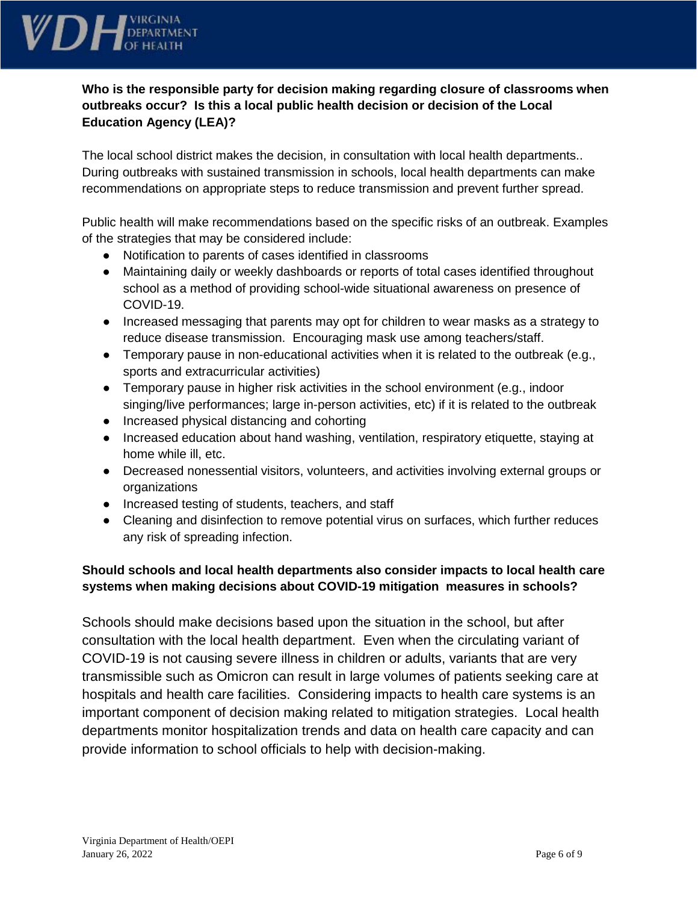

# **Who is the responsible party for decision making regarding closure of classrooms when outbreaks occur? Is this a local public health decision or decision of the Local Education Agency (LEA)?**

The local school district makes the decision, in consultation with local health departments.. During outbreaks with sustained transmission in schools, local health departments can make recommendations on appropriate steps to reduce transmission and prevent further spread.

Public health will make recommendations based on the specific risks of an outbreak. Examples of the strategies that may be considered include:

- Notification to parents of cases identified in classrooms
- Maintaining daily or weekly dashboards or reports of total cases identified throughout school as a method of providing school-wide situational awareness on presence of COVID-19.
- Increased messaging that parents may opt for children to wear masks as a strategy to reduce disease transmission. Encouraging mask use among teachers/staff.
- **•** Temporary pause in non-educational activities when it is related to the outbreak (e.g., sports and extracurricular activities)
- Temporary pause in higher risk activities in the school environment (e.g., indoor singing/live performances; large in-person activities, etc) if it is related to the outbreak
- Increased physical distancing and cohorting
- Increased education about hand washing, ventilation, respiratory etiquette, staying at home while ill, etc.
- Decreased nonessential visitors, volunteers, and activities involving external groups or organizations
- Increased testing of students, teachers, and staff
- Cleaning and disinfection to remove potential virus on surfaces, which further reduces any risk of spreading infection.

# **Should schools and local health departments also consider impacts to local health care systems when making decisions about COVID-19 mitigation measures in schools?**

Schools should make decisions based upon the situation in the school, but after consultation with the local health department. Even when the circulating variant of COVID-19 is not causing severe illness in children or adults, variants that are very transmissible such as Omicron can result in large volumes of patients seeking care at hospitals and health care facilities. Considering impacts to health care systems is an important component of decision making related to mitigation strategies. Local health departments monitor hospitalization trends and data on health care capacity and can provide information to school officials to help with decision-making.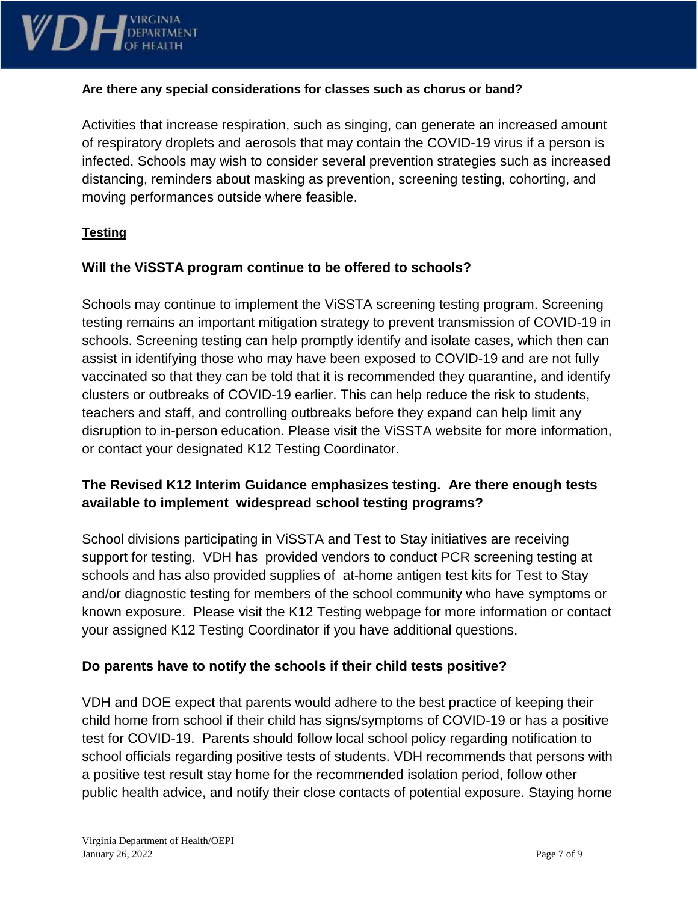

#### **Are there any special considerations for classes such as chorus or band?**

Activities that increase respiration, such as singing, can generate an increased amount of respiratory droplets and aerosols that may contain the COVID-19 virus if a person is infected. Schools may wish to consider several prevention strategies such as increased distancing, reminders about masking as prevention, screening testing, cohorting, and moving performances outside where feasible.

## **Testing**

# **Will the ViSSTA program continue to be offered to schools?**

Schools may continue to implement the ViSSTA screening testing program. Screening testing remains an important mitigation strategy to prevent transmission of COVID-19 in schools. Screening testing can help promptly identify and isolate cases, which then can assist in identifying those who may have been exposed to COVID-19 and are not fully vaccinated so that they can be told that it is recommended they quarantine, and identify clusters or outbreaks of COVID-19 earlier. This can help reduce the risk to students, teachers and staff, and controlling outbreaks before they expand can help limit any disruption to in-person education. Please visit the ViSSTA website for more information, or contact your designated K12 Testing Coordinator.

# **The Revised K12 Interim Guidance emphasizes testing. Are there enough tests available to implement widespread school testing programs?**

School divisions participating in ViSSTA and Test to Stay initiatives are receiving support for testing. VDH has provided vendors to conduct PCR screening testing at schools and has also provided supplies of at-home antigen test kits for Test to Stay and/or diagnostic testing for members of the school community who have symptoms or known exposure. Please visit the K12 Testing webpage for more information or contact your assigned K12 Testing Coordinator if you have additional questions.

## **Do parents have to notify the schools if their child tests positive?**

VDH and DOE expect that parents would adhere to the best practice of keeping their child home from school if their child has signs/symptoms of COVID-19 or has a positive test for COVID-19. Parents should follow local school policy regarding notification to school officials regarding positive tests of students. VDH recommends that persons with a positive test result stay home for the recommended isolation period, follow other public health advice, and notify their close contacts of potential exposure. Staying home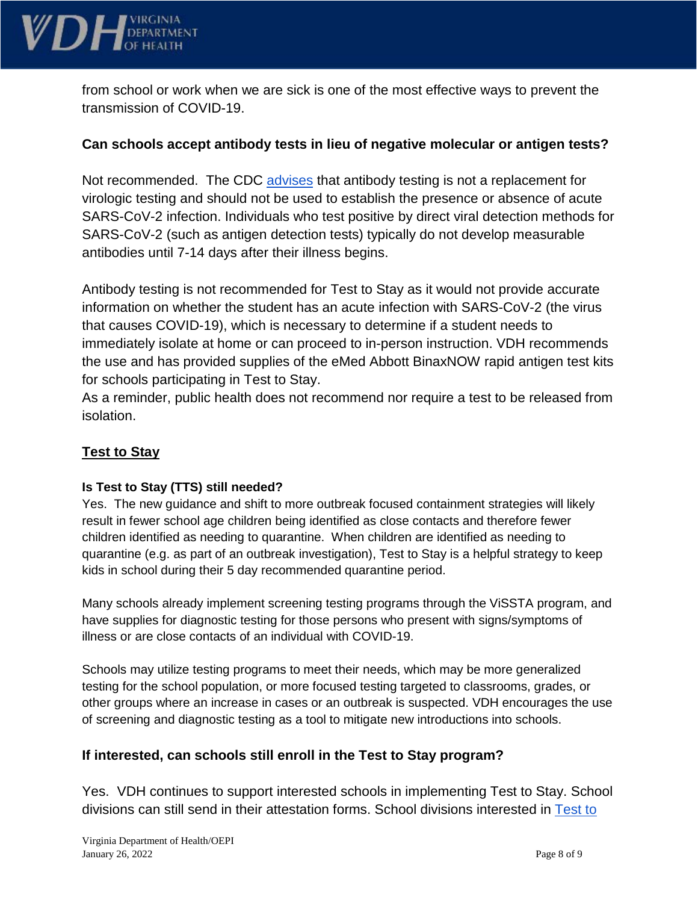

from school or work when we are sick is one of the most effective ways to prevent the transmission of COVID-19.

## **Can schools accept antibody tests in lieu of negative molecular or antigen tests?**

Not recommended. The CDC [advises](https://www.cdc.gov/coronavirus/2019-ncov/lab/resources/antibody-tests-guidelines.html) that antibody testing is not a replacement for virologic testing and should not be used to establish the presence or absence of acute SARS-CoV-2 infection. Individuals who test positive by direct viral detection methods for SARS-CoV-2 (such as antigen detection tests) typically do not develop measurable antibodies until 7-14 days after their illness begins.

Antibody testing is not recommended for Test to Stay as it would not provide accurate information on whether the student has an acute infection with SARS-CoV-2 (the virus that causes COVID-19), which is necessary to determine if a student needs to immediately isolate at home or can proceed to in-person instruction. VDH recommends the use and has provided supplies of the eMed Abbott BinaxNOW rapid antigen test kits for schools participating in Test to Stay.

As a reminder, public health does not recommend nor require a test to be released from isolation.

# **Test to Stay**

#### **Is Test to Stay (TTS) still needed?**

Yes. The new guidance and shift to more outbreak focused containment strategies will likely result in fewer school age children being identified as close contacts and therefore fewer children identified as needing to quarantine. When children are identified as needing to quarantine (e.g. as part of an outbreak investigation), Test to Stay is a helpful strategy to keep kids in school during their 5 day recommended quarantine period.

Many schools already implement screening testing programs through the ViSSTA program, and have supplies for diagnostic testing for those persons who present with signs/symptoms of illness or are close contacts of an individual with COVID-19.

Schools may utilize testing programs to meet their needs, which may be more generalized testing for the school population, or more focused testing targeted to classrooms, grades, or other groups where an increase in cases or an outbreak is suspected. VDH encourages the use of screening and diagnostic testing as a tool to mitigate new introductions into schools.

## **If interested, can schools still enroll in the Test to Stay program?**

Yes. VDH continues to support interested schools in implementing Test to Stay. School divisions can still send in their attestation forms. School divisions interested in [Test to](https://www.vdh.virginia.gov/coronavirus/protect-yourself/covid-19-testing/k-12-testing/test-to-stay/)